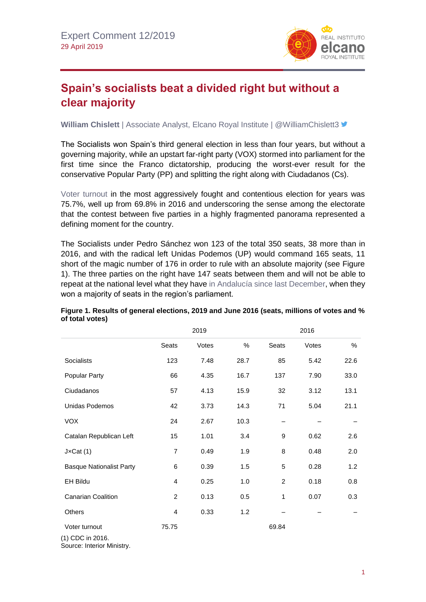

## **Spain's socialists beat a divided right but without a clear majority**

**William Chislett** | Associate Analyst, Elcano Royal Institute | @WilliamChislett3 <del>■</del>

The Socialists won Spain's third general election in less than four years, but without a governing majority, while an upstart far-right party (VOX) stormed into parliament for the first time since the Franco dictatorship, producing the worst-ever result for the conservative Popular Party (PP) and splitting the right along with Ciudadanos (Cs).

[Voter turnout](https://www.resultados.eleccionesgenerales19.es/Congreso/Total-nacional/0/es) in the most aggressively fought and contentious election for years was 75.7%, well up from 69.8% in 2016 and underscoring the sense among the electorate that the contest between five parties in a highly fragmented panorama represented a defining moment for the country.

The Socialists under Pedro Sánchez won 123 of the total 350 seats, 38 more than in 2016, and with the radical left Unidas Podemos (UP) would command 165 seats, 11 short of the magic number of 176 in order to rule with an absolute majority (see Figure 1). The three parties on the right have 147 seats between them and will not be able to repeat at the national level what they have [in Andalucía since last December,](http://www.realinstitutoelcano.org/wps/portal/rielcano_en/contenido?WCM_GLOBAL_CONTEXT=/elcano/elcano_in/zonas_in/commentary-chislett-spain-no-longer-bucks-trend-on-far-right-parties) when they won a majority of seats in the region's parliament.

|                                   |                | 2019  |      |                | 2016  |      |
|-----------------------------------|----------------|-------|------|----------------|-------|------|
|                                   | Seats          | Votes | $\%$ | Seats          | Votes | $\%$ |
| Socialists                        | 123            | 7.48  | 28.7 | 85             | 5.42  | 22.6 |
| Popular Party                     | 66             | 4.35  | 16.7 | 137            | 7.90  | 33.0 |
| Ciudadanos                        | 57             | 4.13  | 15.9 | 32             | 3.12  | 13.1 |
| Unidas Podemos                    | 42             | 3.73  | 14.3 | 71             | 5.04  | 21.1 |
| <b>VOX</b>                        | 24             | 2.67  | 10.3 |                |       |      |
| Catalan Republican Left           | 15             | 1.01  | 3.4  | 9              | 0.62  | 2.6  |
| $J \times Cat(1)$                 | $\overline{7}$ | 0.49  | 1.9  | 8              | 0.48  | 2.0  |
| <b>Basque Nationalist Party</b>   | 6              | 0.39  | 1.5  | 5              | 0.28  | 1.2  |
| EH Bildu                          | 4              | 0.25  | 1.0  | $\overline{c}$ | 0.18  | 0.8  |
| <b>Canarian Coalition</b>         | $\overline{c}$ | 0.13  | 0.5  | 1              | 0.07  | 0.3  |
| <b>Others</b>                     | 4              | 0.33  | 1.2  |                |       |      |
| Voter turnout<br>(1) CDC in 2016. | 75.75          |       |      | 69.84          |       |      |

## **Figure 1. Results of general elections, 2019 and June 2016 (seats, millions of votes and % of total votes)**

(1) CDC in 2016. Source: Interior Ministry.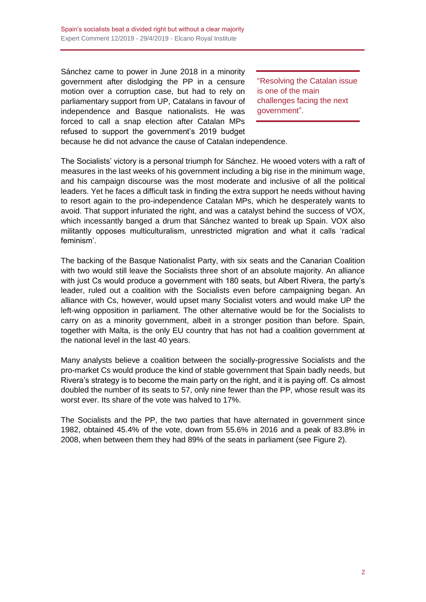Sánchez came to power in June 2018 in a minority government after dislodging the PP in a censure motion over a corruption case, but had to rely on parliamentary support from UP, Catalans in favour of independence and Basque nationalists. He was forced to call a snap election after Catalan MPs refused to support the government's 2019 budget

"Resolving the Catalan issue is one of the main challenges facing the next government".

because he did not advance the cause of Catalan independence.

The Socialists' victory is a personal triumph for Sánchez. He wooed voters with a raft of measures in the last weeks of his government including a big rise in the minimum wage, and his campaign discourse was the most moderate and inclusive of all the political leaders. Yet he faces a difficult task in finding the extra support he needs without having to resort again to the pro-independence Catalan MPs, which he desperately wants to avoid. That support infuriated the right, and was a catalyst behind the success of VOX, which incessantly banged a drum that Sánchez wanted to break up Spain. VOX also militantly opposes multiculturalism, unrestricted migration and what it calls 'radical feminism'.

The backing of the Basque Nationalist Party, with six seats and the Canarian Coalition with two would still leave the Socialists three short of an absolute majority. An alliance with just Cs would produce a government with 180 seats, but Albert Rivera, the party's leader, ruled out a coalition with the Socialists even before campaigning began. An alliance with Cs, however, would upset many Socialist voters and would make UP the left-wing opposition in parliament. The other alternative would be for the Socialists to carry on as a minority government, albeit in a stronger position than before. Spain, together with Malta, is the only EU country that has not had a coalition government at the national level in the last 40 years.

Many analysts believe a coalition between the socially-progressive Socialists and the pro-market Cs would produce the kind of stable government that Spain badly needs, but Rivera's strategy is to become the main party on the right, and it is paying off. Cs almost doubled the number of its seats to 57, only nine fewer than the PP, whose result was its worst ever. Its share of the vote was halved to 17%.

The Socialists and the PP, the two parties that have alternated in government since 1982, obtained 45.4% of the vote, down from 55.6% in 2016 and a peak of 83.8% in 2008, when between them they had 89% of the seats in parliament (see Figure 2).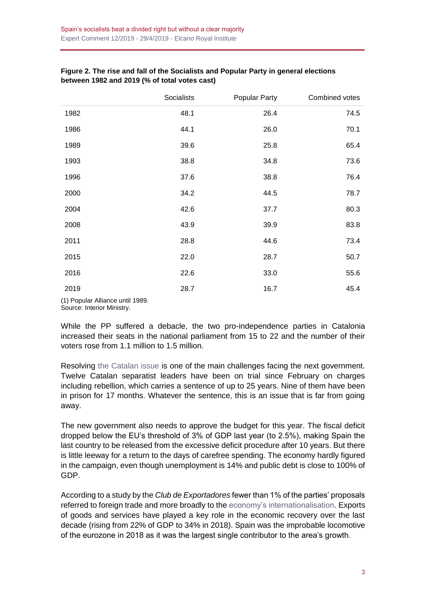|      | Socialists | Popular Party | Combined votes |
|------|------------|---------------|----------------|
| 1982 | 48.1       | 26.4          | 74.5           |
| 1986 | 44.1       | 26.0          | 70.1           |
| 1989 | 39.6       | 25.8          | 65.4           |
| 1993 | 38.8       | 34.8          | 73.6           |
| 1996 | 37.6       | 38.8          | 76.4           |
| 2000 | 34.2       | 44.5          | 78.7           |
| 2004 | 42.6       | 37.7          | 80.3           |
| 2008 | 43.9       | 39.9          | 83.8           |
| 2011 | 28.8       | 44.6          | 73.4           |
| 2015 | 22.0       | 28.7          | 50.7           |
| 2016 | 22.6       | 33.0          | 55.6           |
| 2019 | 28.7       | 16.7          | 45.4           |

## **Figure 2. The rise and fall of the Socialists and Popular Party in general elections between 1982 and 2019 (% of total votes cast)**

(1) Popular Alliance until 1989. Source: Interior Ministry.

While the PP suffered a debacle, the two pro-independence parties in Catalonia increased their seats in the national parliament from 15 to 22 and the number of their voters rose from 1.1 million to 1.5 million.

Resolving [the Catalan issue](https://especiales.realinstitutoelcano.org/catalonia/) is one of the main challenges facing the next government. Twelve Catalan separatist leaders have been on trial since February on charges including rebellion, which carries a sentence of up to 25 years. Nine of them have been in prison for 17 months. Whatever the sentence, this is an issue that is far from going away.

The new government also needs to approve the budget for this year. The fiscal deficit dropped below the EU's threshold of 3% of GDP last year (to 2.5%), making Spain the last country to be released from the excessive deficit procedure after 10 years. But there is little leeway for a return to the days of carefree spending. The economy hardly figured in the campaign, even though unemployment is 14% and public debt is close to 100% of GDP.

According to a study by the *Club de Exportadores* fewer than 1% of the parties' proposals referred to foreign trade and more broadly to the [economy's internationalisation.](https://blog.realinstitutoelcano.org/la-internacionalizacion-de-la-economia-ausente-de-las-elecciones-espanolas/) Exports of goods and services have played a key role in the economic recovery over the last decade (rising from 22% of GDP to 34% in 2018). Spain was the improbable locomotive of the eurozone in 2018 as it was the largest single contributor to the area's growth.